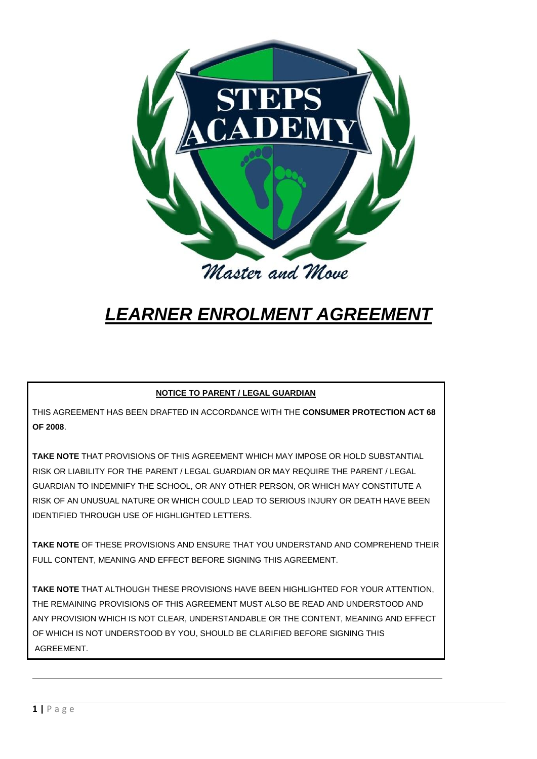

# *LEARNER ENROLMENT AGREEMENT*

## **NOTICE TO PARENT / LEGAL GUARDIAN**

THIS AGREEMENT HAS BEEN DRAFTED IN ACCORDANCE WITH THE **CONSUMER PROTECTION ACT 68 OF 2008**.

**TAKE NOTE** THAT PROVISIONS OF THIS AGREEMENT WHICH MAY IMPOSE OR HOLD SUBSTANTIAL RISK OR LIABILITY FOR THE PARENT / LEGAL GUARDIAN OR MAY REQUIRE THE PARENT / LEGAL GUARDIAN TO INDEMNIFY THE SCHOOL, OR ANY OTHER PERSON, OR WHICH MAY CONSTITUTE A RISK OF AN UNUSUAL NATURE OR WHICH COULD LEAD TO SERIOUS INJURY OR DEATH HAVE BEEN IDENTIFIED THROUGH USE OF HIGHLIGHTED LETTERS.

**TAKE NOTE** OF THESE PROVISIONS AND ENSURE THAT YOU UNDERSTAND AND COMPREHEND THEIR FULL CONTENT, MEANING AND EFFECT BEFORE SIGNING THIS AGREEMENT.

**TAKE NOTE** THAT ALTHOUGH THESE PROVISIONS HAVE BEEN HIGHLIGHTED FOR YOUR ATTENTION, THE REMAINING PROVISIONS OF THIS AGREEMENT MUST ALSO BE READ AND UNDERSTOOD AND ANY PROVISION WHICH IS NOT CLEAR, UNDERSTANDABLE OR THE CONTENT, MEANING AND EFFECT OF WHICH IS NOT UNDERSTOOD BY YOU, SHOULD BE CLARIFIED BEFORE SIGNING THIS AGREEMENT.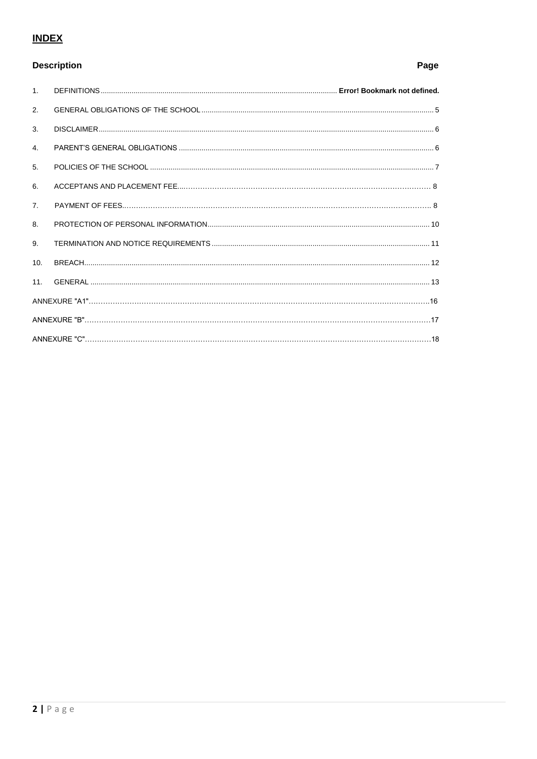## **INDEX**

## **Description**

| 1.              |  |  |  |  |
|-----------------|--|--|--|--|
| 2.              |  |  |  |  |
| 3.              |  |  |  |  |
| 4.              |  |  |  |  |
| 5.              |  |  |  |  |
| 6.              |  |  |  |  |
| 7.              |  |  |  |  |
| 8.              |  |  |  |  |
| 9.              |  |  |  |  |
| 10.             |  |  |  |  |
| 11 <sub>1</sub> |  |  |  |  |
|                 |  |  |  |  |
|                 |  |  |  |  |
|                 |  |  |  |  |

## Page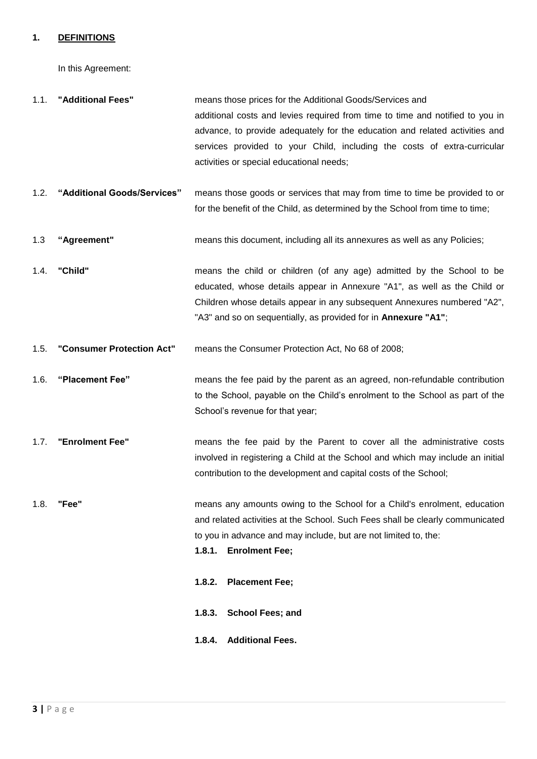#### **1. DEFINITIONS**

In this Agreement:

| 1.1. | "Additional Fees" | means those prices for the Additional Goods/Services and                      |
|------|-------------------|-------------------------------------------------------------------------------|
|      |                   | additional costs and levies required from time to time and notified to you in |
|      |                   | advance, to provide adequately for the education and related activities and   |
|      |                   | services provided to your Child, including the costs of extra-curricular      |
|      |                   | activities or special educational needs;                                      |

- 1.2. **"Additional Goods/Services"** means those goods or services that may from time to time be provided to or for the benefit of the Child, as determined by the School from time to time;
- 1.3 **"Agreement"** means this document, including all its annexures as well as any Policies;
- 1.4. **"Child"** means the child or children (of any age) admitted by the School to be educated, whose details appear in Annexure "A1", as well as the Child or Children whose details appear in any subsequent Annexures numbered "A2", "A3" and so on sequentially, as provided for in **Annexure "A1"**;
- 1.5. **"Consumer Protection Act"** means the Consumer Protection Act, No 68 of 2008;
- 1.6. **"Placement Fee"** means the fee paid by the parent as an agreed, non-refundable contribution to the School, payable on the Child's enrolment to the School as part of the School's revenue for that year;
- 1.7. **"Enrolment Fee"** means the fee paid by the Parent to cover all the administrative costs involved in registering a Child at the School and which may include an initial contribution to the development and capital costs of the School;
- 1.8. **"Fee"** means any amounts owing to the School for a Child's enrolment, education and related activities at the School. Such Fees shall be clearly communicated to you in advance and may include, but are not limited to, the:
	- **1.8.1. Enrolment Fee;**
	- **1.8.2. Placement Fee;**
	- **1.8.3. School Fees; and**
	- **1.8.4. Additional Fees.**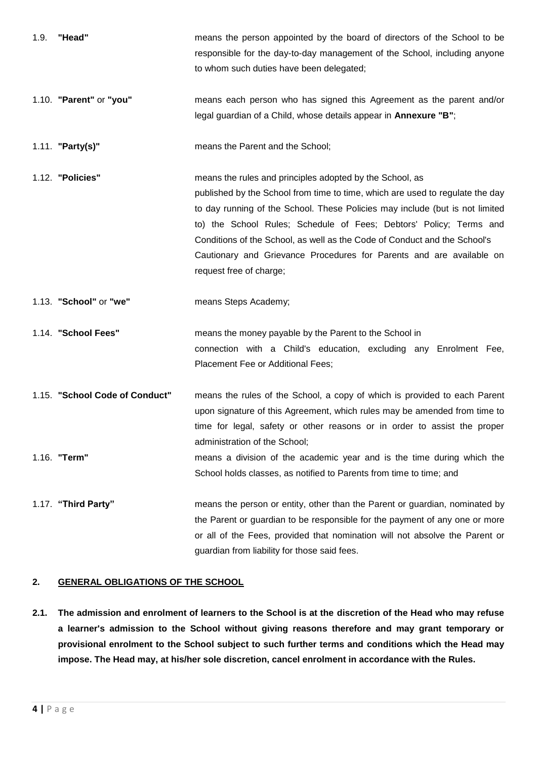| "Head"<br>1.9.                 | means the person appointed by the board of directors of the School to be<br>responsible for the day-to-day management of the School, including anyone<br>to whom such duties have been delegated;                                                                                                                                                                                                                                                                               |
|--------------------------------|---------------------------------------------------------------------------------------------------------------------------------------------------------------------------------------------------------------------------------------------------------------------------------------------------------------------------------------------------------------------------------------------------------------------------------------------------------------------------------|
| 1.10. "Parent" or "you"        | means each person who has signed this Agreement as the parent and/or<br>legal guardian of a Child, whose details appear in Annexure "B";                                                                                                                                                                                                                                                                                                                                        |
| 1.11. <b>"Party(s)"</b>        | means the Parent and the School;                                                                                                                                                                                                                                                                                                                                                                                                                                                |
| 1.12. "Policies"               | means the rules and principles adopted by the School, as<br>published by the School from time to time, which are used to regulate the day<br>to day running of the School. These Policies may include (but is not limited<br>to) the School Rules; Schedule of Fees; Debtors' Policy; Terms and<br>Conditions of the School, as well as the Code of Conduct and the School's<br>Cautionary and Grievance Procedures for Parents and are available on<br>request free of charge; |
| 1.13. "School" or "we"         | means Steps Academy;                                                                                                                                                                                                                                                                                                                                                                                                                                                            |
| 1.14. "School Fees"            | means the money payable by the Parent to the School in<br>connection with a Child's education, excluding any Enrolment Fee,<br>Placement Fee or Additional Fees;                                                                                                                                                                                                                                                                                                                |
| 1.15. "School Code of Conduct" | means the rules of the School, a copy of which is provided to each Parent<br>upon signature of this Agreement, which rules may be amended from time to<br>time for legal, safety or other reasons or in order to assist the proper<br>administration of the School;                                                                                                                                                                                                             |
| 1.16. "Term"                   | means a division of the academic year and is the time during which the<br>School holds classes, as notified to Parents from time to time; and                                                                                                                                                                                                                                                                                                                                   |
|                                |                                                                                                                                                                                                                                                                                                                                                                                                                                                                                 |

## **2. GENERAL OBLIGATIONS OF THE SCHOOL**

**2.1. The admission and enrolment of learners to the School is at the discretion of the Head who may refuse a learner's admission to the School without giving reasons therefore and may grant temporary or provisional enrolment to the School subject to such further terms and conditions which the Head may impose. The Head may, at his/her sole discretion, cancel enrolment in accordance with the Rules.**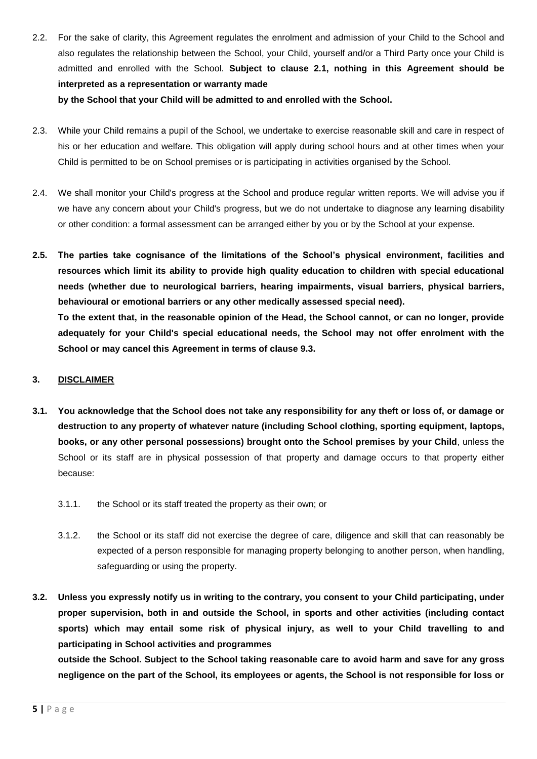2.2. For the sake of clarity, this Agreement regulates the enrolment and admission of your Child to the School and also regulates the relationship between the School, your Child, yourself and/or a Third Party once your Child is admitted and enrolled with the School. **Subject to clause 2.1, nothing in this Agreement should be interpreted as a representation or warranty made**

**by the School that your Child will be admitted to and enrolled with the School.**

- 2.3. While your Child remains a pupil of the School, we undertake to exercise reasonable skill and care in respect of his or her education and welfare. This obligation will apply during school hours and at other times when your Child is permitted to be on School premises or is participating in activities organised by the School.
- 2.4. We shall monitor your Child's progress at the School and produce regular written reports. We will advise you if we have any concern about your Child's progress, but we do not undertake to diagnose any learning disability or other condition: a formal assessment can be arranged either by you or by the School at your expense.
- **2.5. The parties take cognisance of the limitations of the School's physical environment, facilities and resources which limit its ability to provide high quality education to children with special educational needs (whether due to neurological barriers, hearing impairments, visual barriers, physical barriers, behavioural or emotional barriers or any other medically assessed special need). To the extent that, in the reasonable opinion of the Head, the School cannot, or can no longer, provide adequately for your Child's special educational needs, the School may not offer enrolment with the School or may cancel this Agreement in terms of clause 9.3.**

### **3. DISCLAIMER**

- **3.1. You acknowledge that the School does not take any responsibility for any theft or loss of, or damage or destruction to any property of whatever nature (including School clothing, sporting equipment, laptops, books, or any other personal possessions) brought onto the School premises by your Child**, unless the School or its staff are in physical possession of that property and damage occurs to that property either because:
	- 3.1.1. the School or its staff treated the property as their own; or
	- 3.1.2. the School or its staff did not exercise the degree of care, diligence and skill that can reasonably be expected of a person responsible for managing property belonging to another person, when handling, safeguarding or using the property.
- **3.2. Unless you expressly notify us in writing to the contrary, you consent to your Child participating, under proper supervision, both in and outside the School, in sports and other activities (including contact sports) which may entail some risk of physical injury, as well to your Child travelling to and participating in School activities and programmes**

**outside the School. Subject to the School taking reasonable care to avoid harm and save for any gross negligence on the part of the School, its employees or agents, the School is not responsible for loss or**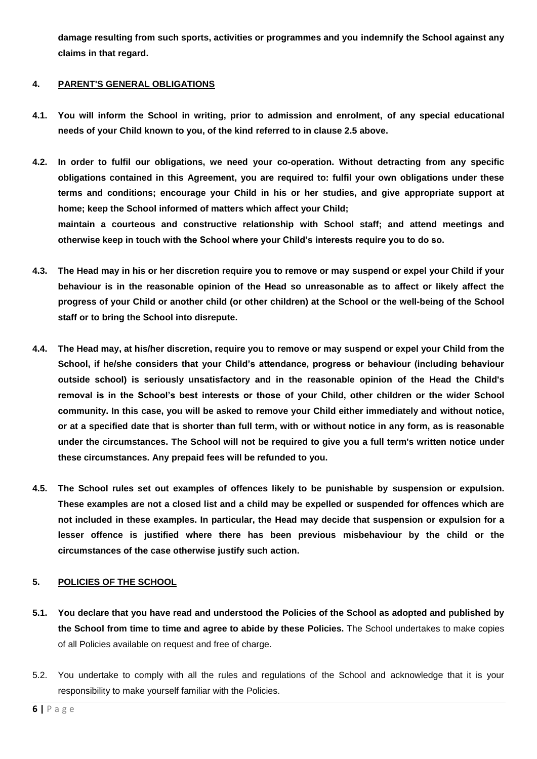**damage resulting from such sports, activities or programmes and you indemnify the School against any claims in that regard.**

## **4. PARENT'S GENERAL OBLIGATIONS**

- **4.1. You will inform the School in writing, prior to admission and enrolment, of any special educational needs of your Child known to you, of the kind referred to in clause 2.5 above.**
- **4.2. In order to fulfil our obligations, we need your co-operation. Without detracting from any specific obligations contained in this Agreement, you are required to: fulfil your own obligations under these terms and conditions; encourage your Child in his or her studies, and give appropriate support at home; keep the School informed of matters which affect your Child; maintain a courteous and constructive relationship with School staff; and attend meetings and otherwise keep in touch with the School where your Child's interests require you to do so.**
- **4.3. The Head may in his or her discretion require you to remove or may suspend or expel your Child if your behaviour is in the reasonable opinion of the Head so unreasonable as to affect or likely affect the progress of your Child or another child (or other children) at the School or the well-being of the School staff or to bring the School into disrepute.**
- **4.4. The Head may, at his/her discretion, require you to remove or may suspend or expel your Child from the School, if he/she considers that your Child's attendance, progress or behaviour (including behaviour outside school) is seriously unsatisfactory and in the reasonable opinion of the Head the Child's removal is in the School's best interests or those of your Child, other children or the wider School community. In this case, you will be asked to remove your Child either immediately and without notice, or at a specified date that is shorter than full term, with or without notice in any form, as is reasonable under the circumstances. The School will not be required to give you a full term's written notice under these circumstances. Any prepaid fees will be refunded to you.**
- **4.5. The School rules set out examples of offences likely to be punishable by suspension or expulsion. These examples are not a closed list and a child may be expelled or suspended for offences which are not included in these examples. In particular, the Head may decide that suspension or expulsion for a lesser offence is justified where there has been previous misbehaviour by the child or the circumstances of the case otherwise justify such action.**

## **5. POLICIES OF THE SCHOOL**

- **5.1. You declare that you have read and understood the Policies of the School as adopted and published by the School from time to time and agree to abide by these Policies.** The School undertakes to make copies of all Policies available on request and free of charge.
- 5.2. You undertake to comply with all the rules and regulations of the School and acknowledge that it is your responsibility to make yourself familiar with the Policies.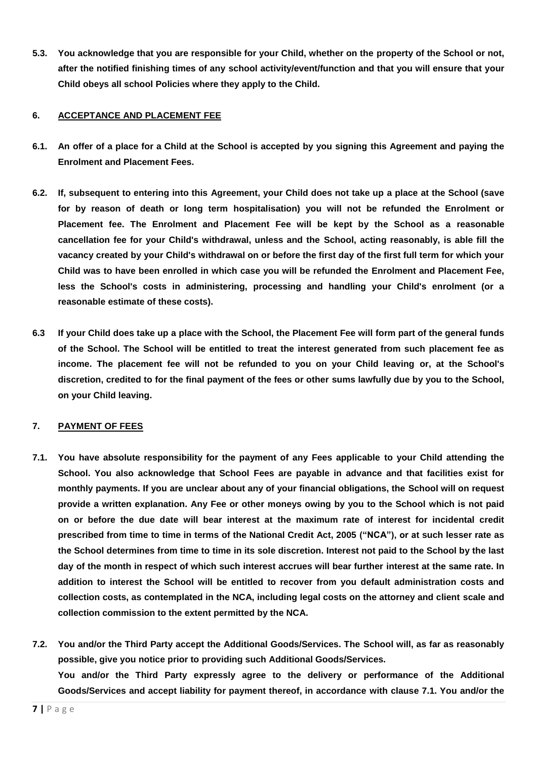**5.3. You acknowledge that you are responsible for your Child, whether on the property of the School or not, after the notified finishing times of any school activity/event/function and that you will ensure that your Child obeys all school Policies where they apply to the Child.**

## **6. ACCEPTANCE AND PLACEMENT FEE**

- **6.1. An offer of a place for a Child at the School is accepted by you signing this Agreement and paying the Enrolment and Placement Fees.**
- **6.2. If, subsequent to entering into this Agreement, your Child does not take up a place at the School (save for by reason of death or long term hospitalisation) you will not be refunded the Enrolment or Placement fee. The Enrolment and Placement Fee will be kept by the School as a reasonable cancellation fee for your Child's withdrawal, unless and the School, acting reasonably, is able fill the vacancy created by your Child's withdrawal on or before the first day of the first full term for which your Child was to have been enrolled in which case you will be refunded the Enrolment and Placement Fee, less the School's costs in administering, processing and handling your Child's enrolment (or a reasonable estimate of these costs).**
- **6.3 If your Child does take up a place with the School, the Placement Fee will form part of the general funds of the School. The School will be entitled to treat the interest generated from such placement fee as income. The placement fee will not be refunded to you on your Child leaving or, at the School's discretion, credited to for the final payment of the fees or other sums lawfully due by you to the School, on your Child leaving.**

## **7. PAYMENT OF FEES**

- **7.1. You have absolute responsibility for the payment of any Fees applicable to your Child attending the School. You also acknowledge that School Fees are payable in advance and that facilities exist for monthly payments. If you are unclear about any of your financial obligations, the School will on request provide a written explanation. Any Fee or other moneys owing by you to the School which is not paid on or before the due date will bear interest at the maximum rate of interest for incidental credit prescribed from time to time in terms of the National Credit Act, 2005 ("NCA"), or at such lesser rate as the School determines from time to time in its sole discretion. Interest not paid to the School by the last day of the month in respect of which such interest accrues will bear further interest at the same rate. In addition to interest the School will be entitled to recover from you default administration costs and collection costs, as contemplated in the NCA, including legal costs on the attorney and client scale and collection commission to the extent permitted by the NCA.**
- **7.2. You and/or the Third Party accept the Additional Goods/Services. The School will, as far as reasonably possible, give you notice prior to providing such Additional Goods/Services. You and/or the Third Party expressly agree to the delivery or performance of the Additional Goods/Services and accept liability for payment thereof, in accordance with clause 7.1. You and/or the**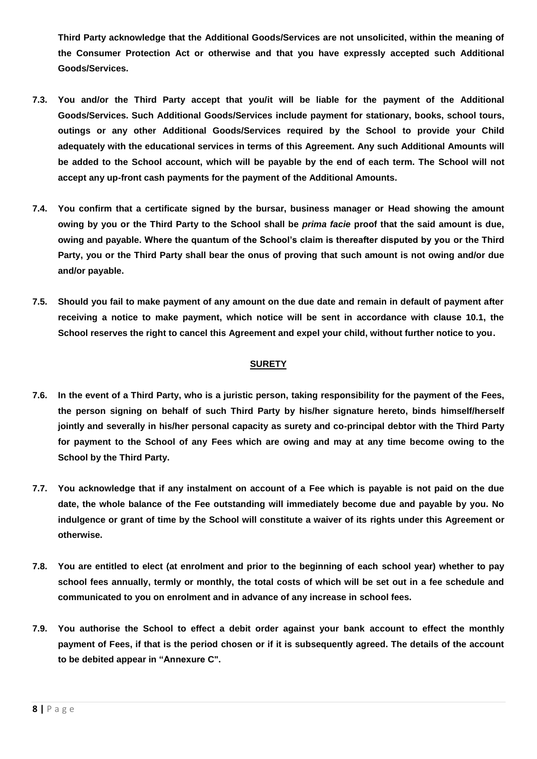**Third Party acknowledge that the Additional Goods/Services are not unsolicited, within the meaning of the Consumer Protection Act or otherwise and that you have expressly accepted such Additional Goods/Services.**

- **7.3. You and/or the Third Party accept that you/it will be liable for the payment of the Additional Goods/Services. Such Additional Goods/Services include payment for stationary, books, school tours, outings or any other Additional Goods/Services required by the School to provide your Child adequately with the educational services in terms of this Agreement. Any such Additional Amounts will be added to the School account, which will be payable by the end of each term. The School will not accept any up-front cash payments for the payment of the Additional Amounts.**
- **7.4. You confirm that a certificate signed by the bursar, business manager or Head showing the amount owing by you or the Third Party to the School shall be** *prima facie* **proof that the said amount is due, owing and payable. Where the quantum of the School's claim is thereafter disputed by you or the Third Party, you or the Third Party shall bear the onus of proving that such amount is not owing and/or due and/or payable.**
- **7.5. Should you fail to make payment of any amount on the due date and remain in default of payment after receiving a notice to make payment, which notice will be sent in accordance with clause 10.1, the School reserves the right to cancel this Agreement and expel your child, without further notice to you.**

#### **SURETY**

- **7.6. In the event of a Third Party, who is a juristic person, taking responsibility for the payment of the Fees, the person signing on behalf of such Third Party by his/her signature hereto, binds himself/herself jointly and severally in his/her personal capacity as surety and co-principal debtor with the Third Party for payment to the School of any Fees which are owing and may at any time become owing to the School by the Third Party.**
- **7.7. You acknowledge that if any instalment on account of a Fee which is payable is not paid on the due date, the whole balance of the Fee outstanding will immediately become due and payable by you. No indulgence or grant of time by the School will constitute a waiver of its rights under this Agreement or otherwise.**
- **7.8. You are entitled to elect (at enrolment and prior to the beginning of each school year) whether to pay school fees annually, termly or monthly, the total costs of which will be set out in a fee schedule and communicated to you on enrolment and in advance of any increase in school fees.**
- **7.9. You authorise the School to effect a debit order against your bank account to effect the monthly payment of Fees, if that is the period chosen or if it is subsequently agreed. The details of the account to be debited appear in "Annexure C".**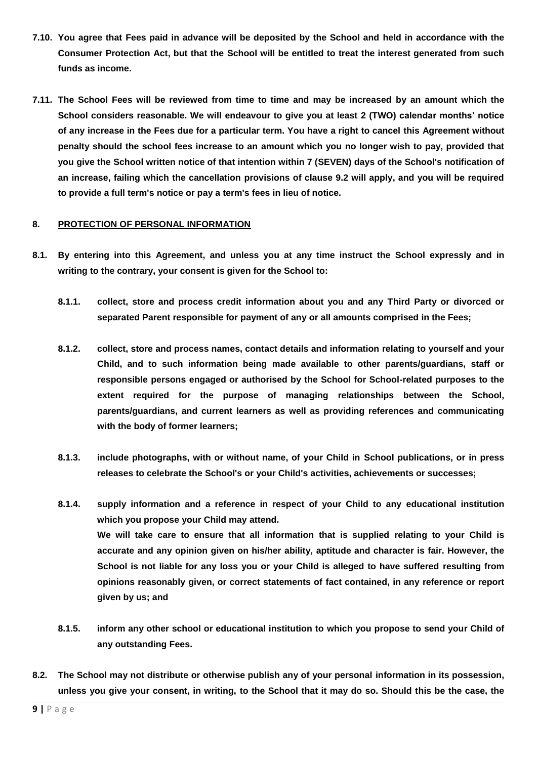- **7.10. You agree that Fees paid in advance will be deposited by the School and held in accordance with the Consumer Protection Act, but that the School will be entitled to treat the interest generated from such funds as income.**
- **7.11. The School Fees will be reviewed from time to time and may be increased by an amount which the School considers reasonable. We will endeavour to give you at least 2 (TWO) calendar months' notice of any increase in the Fees due for a particular term. You have a right to cancel this Agreement without penalty should the school fees increase to an amount which you no longer wish to pay, provided that you give the School written notice of that intention within 7 (SEVEN) days of the School's notification of an increase, failing which the cancellation provisions of clause 9.2 will apply, and you will be required to provide a full term's notice or pay a term's fees in lieu of notice.**

#### **8. PROTECTION OF PERSONAL INFORMATION**

- **8.1. By entering into this Agreement, and unless you at any time instruct the School expressly and in writing to the contrary, your consent is given for the School to:**
	- **8.1.1. collect, store and process credit information about you and any Third Party or divorced or separated Parent responsible for payment of any or all amounts comprised in the Fees;**
	- **8.1.2. collect, store and process names, contact details and information relating to yourself and your Child, and to such information being made available to other parents/guardians, staff or responsible persons engaged or authorised by the School for School-related purposes to the extent required for the purpose of managing relationships between the School, parents/guardians, and current learners as well as providing references and communicating with the body of former learners;**
	- **8.1.3. include photographs, with or without name, of your Child in School publications, or in press releases to celebrate the School's or your Child's activities, achievements or successes;**
	- **8.1.4. supply information and a reference in respect of your Child to any educational institution which you propose your Child may attend. We will take care to ensure that all information that is supplied relating to your Child is accurate and any opinion given on his/her ability, aptitude and character is fair. However, the School is not liable for any loss you or your Child is alleged to have suffered resulting from opinions reasonably given, or correct statements of fact contained, in any reference or report given by us; and**
	- **8.1.5. inform any other school or educational institution to which you propose to send your Child of any outstanding Fees.**
- **8.2. The School may not distribute or otherwise publish any of your personal information in its possession, unless you give your consent, in writing, to the School that it may do so. Should this be the case, the**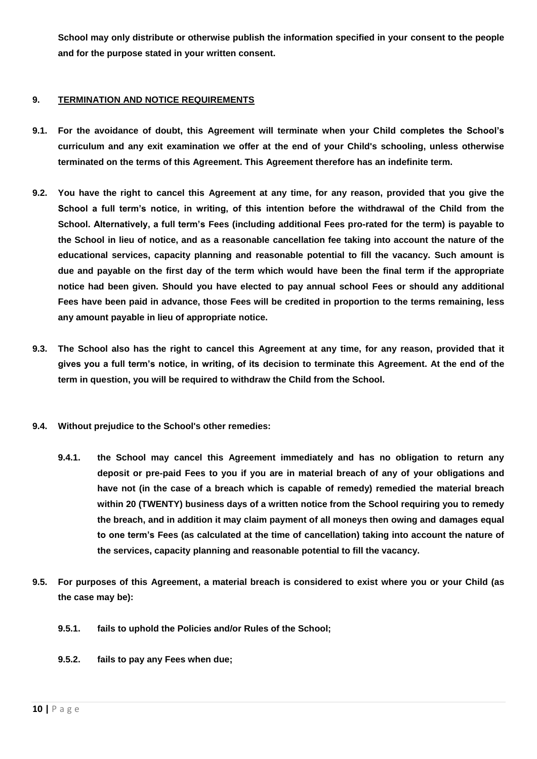**School may only distribute or otherwise publish the information specified in your consent to the people and for the purpose stated in your written consent.**

## **9. TERMINATION AND NOTICE REQUIREMENTS**

- **9.1. For the avoidance of doubt, this Agreement will terminate when your Child completes the School's curriculum and any exit examination we offer at the end of your Child's schooling, unless otherwise terminated on the terms of this Agreement. This Agreement therefore has an indefinite term.**
- **9.2. You have the right to cancel this Agreement at any time, for any reason, provided that you give the School a full term's notice, in writing, of this intention before the withdrawal of the Child from the School. Alternatively, a full term's Fees (including additional Fees pro-rated for the term) is payable to the School in lieu of notice, and as a reasonable cancellation fee taking into account the nature of the educational services, capacity planning and reasonable potential to fill the vacancy. Such amount is due and payable on the first day of the term which would have been the final term if the appropriate notice had been given. Should you have elected to pay annual school Fees or should any additional Fees have been paid in advance, those Fees will be credited in proportion to the terms remaining, less any amount payable in lieu of appropriate notice.**
- **9.3. The School also has the right to cancel this Agreement at any time, for any reason, provided that it gives you a full term's notice, in writing, of its decision to terminate this Agreement. At the end of the term in question, you will be required to withdraw the Child from the School.**
- **9.4. Without prejudice to the School's other remedies:** 
	- **9.4.1. the School may cancel this Agreement immediately and has no obligation to return any deposit or pre-paid Fees to you if you are in material breach of any of your obligations and have not (in the case of a breach which is capable of remedy) remedied the material breach within 20 (TWENTY) business days of a written notice from the School requiring you to remedy the breach, and in addition it may claim payment of all moneys then owing and damages equal to one term's Fees (as calculated at the time of cancellation) taking into account the nature of the services, capacity planning and reasonable potential to fill the vacancy.**
- **9.5. For purposes of this Agreement, a material breach is considered to exist where you or your Child (as the case may be):**
	- **9.5.1. fails to uphold the Policies and/or Rules of the School;**
	- **9.5.2. fails to pay any Fees when due;**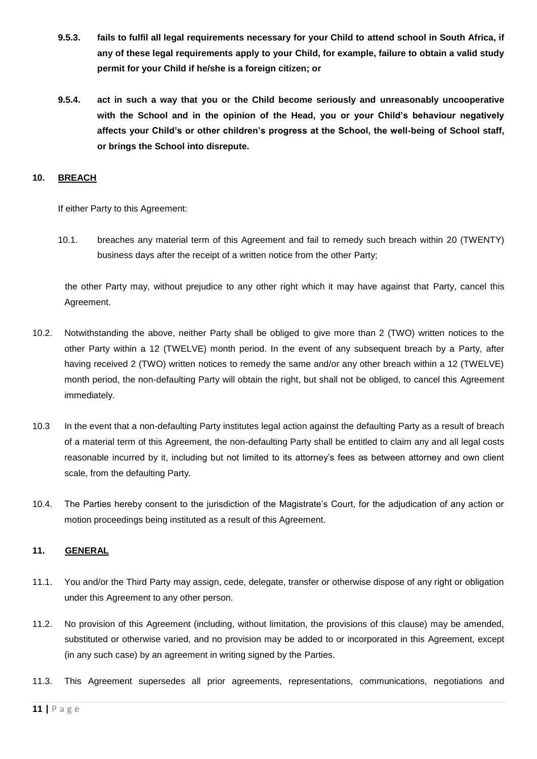- **9.5.3. fails to fulfil all legal requirements necessary for your Child to attend school in South Africa, if any of these legal requirements apply to your Child, for example, failure to obtain a valid study permit for your Child if he/she is a foreign citizen; or**
- **9.5.4. act in such a way that you or the Child become seriously and unreasonably uncooperative with the School and in the opinion of the Head, you or your Child's behaviour negatively affects your Child's or other children's progress at the School, the well-being of School staff, or brings the School into disrepute.**

## **10. BREACH**

If either Party to this Agreement:

10.1. breaches any material term of this Agreement and fail to remedy such breach within 20 (TWENTY) business days after the receipt of a written notice from the other Party;

the other Party may, without prejudice to any other right which it may have against that Party, cancel this Agreement.

- 10.2. Notwithstanding the above, neither Party shall be obliged to give more than 2 (TWO) written notices to the other Party within a 12 (TWELVE) month period. In the event of any subsequent breach by a Party, after having received 2 (TWO) written notices to remedy the same and/or any other breach within a 12 (TWELVE) month period, the non-defaulting Party will obtain the right, but shall not be obliged, to cancel this Agreement immediately.
- 10.3 In the event that a non-defaulting Party institutes legal action against the defaulting Party as a result of breach of a material term of this Agreement, the non-defaulting Party shall be entitled to claim any and all legal costs reasonable incurred by it, including but not limited to its attorney's fees as between attorney and own client scale, from the defaulting Party.
- 10.4. The Parties hereby consent to the jurisdiction of the Magistrate's Court, for the adjudication of any action or motion proceedings being instituted as a result of this Agreement.

## **11. GENERAL**

- 11.1. You and/or the Third Party may assign, cede, delegate, transfer or otherwise dispose of any right or obligation under this Agreement to any other person.
- 11.2. No provision of this Agreement (including, without limitation, the provisions of this clause) may be amended, substituted or otherwise varied, and no provision may be added to or incorporated in this Agreement, except (in any such case) by an agreement in writing signed by the Parties.
- 11.3. This Agreement supersedes all prior agreements, representations, communications, negotiations and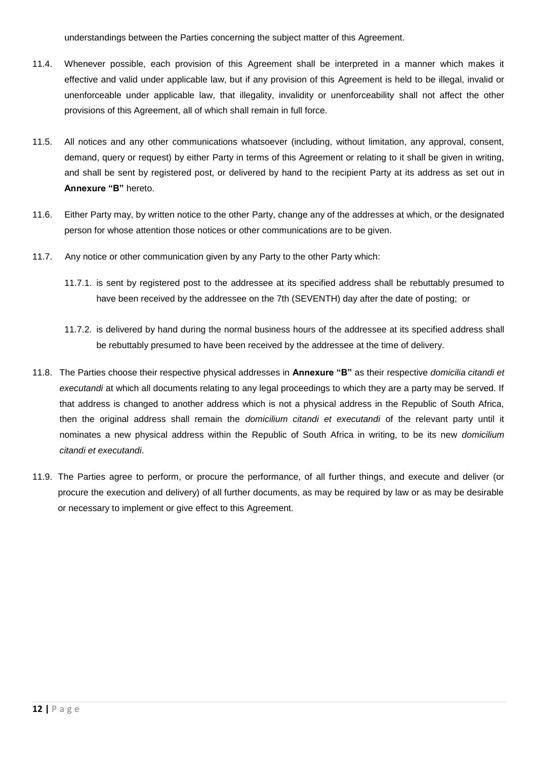understandings between the Parties concerning the subject matter of this Agreement.

- 11.4. Whenever possible, each provision of this Agreement shall be interpreted in a manner which makes it effective and valid under applicable law, but if any provision of this Agreement is held to be illegal, invalid or unenforceable under applicable law, that illegality, invalidity or unenforceability shall not affect the other provisions of this Agreement, all of which shall remain in full force.
- 11.5. All notices and any other communications whatsoever (including, without limitation, any approval, consent, demand, query or request) by either Party in terms of this Agreement or relating to it shall be given in writing, and shall be sent by registered post, or delivered by hand to the recipient Party at its address as set out in **Annexure "B"** hereto.
- 11.6. Either Party may, by written notice to the other Party, change any of the addresses at which, or the designated person for whose attention those notices or other communications are to be given.
- 11.7. Any notice or other communication given by any Party to the other Party which:
	- 11.7.1. is sent by registered post to the addressee at its specified address shall be rebuttably presumed to have been received by the addressee on the 7th (SEVENTH) day after the date of posting; or
	- 11.7.2. is delivered by hand during the normal business hours of the addressee at its specified address shall be rebuttably presumed to have been received by the addressee at the time of delivery.
- 11.8. The Parties choose their respective physical addresses in **Annexure "B"** as their respective *domicilia citandi et executandi* at which all documents relating to any legal proceedings to which they are a party may be served. If that address is changed to another address which is not a physical address in the Republic of South Africa, then the original address shall remain the *domicilium citandi et executandi* of the relevant party until it nominates a new physical address within the Republic of South Africa in writing, to be its new *domicilium citandi et executandi*.
- 11.9. The Parties agree to perform, or procure the performance, of all further things, and execute and deliver (or procure the execution and delivery) of all further documents, as may be required by law or as may be desirable or necessary to implement or give effect to this Agreement.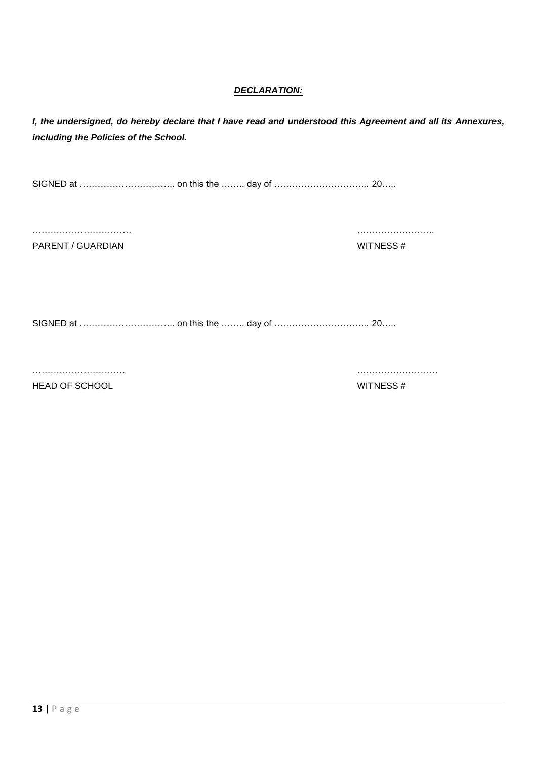## *DECLARATION:*

*I, the undersigned, do hereby declare that I have read and understood this Agreement and all its Annexures, including the Policies of the School.*

SIGNED at ………………………….. on this the …….. day of ………………………….. 20…..

…………………………… ……………………..

PARENT / GUARDIAN WITNESS #

SIGNED at ………………………….. on this the …….. day of ………………………….. 20…..

…………………………. ………………………

HEAD OF SCHOOL NEXT AND THE SERVICE SERVICES A SUIT WITNESS  $#$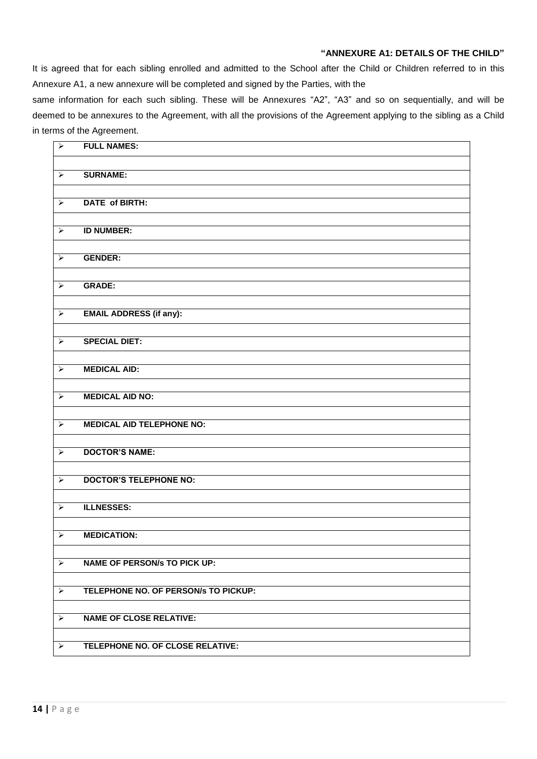## **"ANNEXURE A1: DETAILS OF THE CHILD"**

It is agreed that for each sibling enrolled and admitted to the School after the Child or Children referred to in this Annexure A1, a new annexure will be completed and signed by the Parties, with the

same information for each such sibling. These will be Annexures "A2", "A3" and so on sequentially, and will be deemed to be annexures to the Agreement, with all the provisions of the Agreement applying to the sibling as a Child in terms of the Agreement.

| $\blacktriangledown$  | <b>FULL NAMES:</b>                   |
|-----------------------|--------------------------------------|
|                       |                                      |
| $\blacktriangleright$ | <b>SURNAME:</b>                      |
|                       |                                      |
| $\blacktriangleright$ | <b>DATE of BIRTH:</b>                |
|                       |                                      |
|                       | <b>ID NUMBER:</b>                    |
| $\blacktriangleright$ |                                      |
|                       |                                      |
| $\blacktriangleright$ | <b>GENDER:</b>                       |
|                       |                                      |
| $\blacktriangleright$ | <b>GRADE:</b>                        |
|                       |                                      |
| $\blacktriangleright$ | <b>EMAIL ADDRESS (if any):</b>       |
|                       |                                      |
| $\blacktriangleright$ | <b>SPECIAL DIET:</b>                 |
|                       |                                      |
| $\blacktriangleright$ | <b>MEDICAL AID:</b>                  |
|                       |                                      |
| $\blacktriangleright$ | <b>MEDICAL AID NO:</b>               |
|                       |                                      |
| $\blacktriangleright$ | <b>MEDICAL AID TELEPHONE NO:</b>     |
|                       |                                      |
|                       |                                      |
| $\blacktriangleright$ | <b>DOCTOR'S NAME:</b>                |
|                       |                                      |
| $\blacktriangleright$ | <b>DOCTOR'S TELEPHONE NO:</b>        |
|                       |                                      |
| $\blacktriangleright$ | <b>ILLNESSES:</b>                    |
|                       |                                      |
| $\blacktriangleright$ | <b>MEDICATION:</b>                   |
|                       |                                      |
| $\blacktriangleright$ | <b>NAME OF PERSON/s TO PICK UP:</b>  |
|                       |                                      |
| $\blacktriangleright$ | TELEPHONE NO. OF PERSON/s TO PICKUP: |
|                       |                                      |
| $\blacktriangleright$ | <b>NAME OF CLOSE RELATIVE:</b>       |
|                       |                                      |
|                       |                                      |
| $\blacktriangleright$ | TELEPHONE NO. OF CLOSE RELATIVE:     |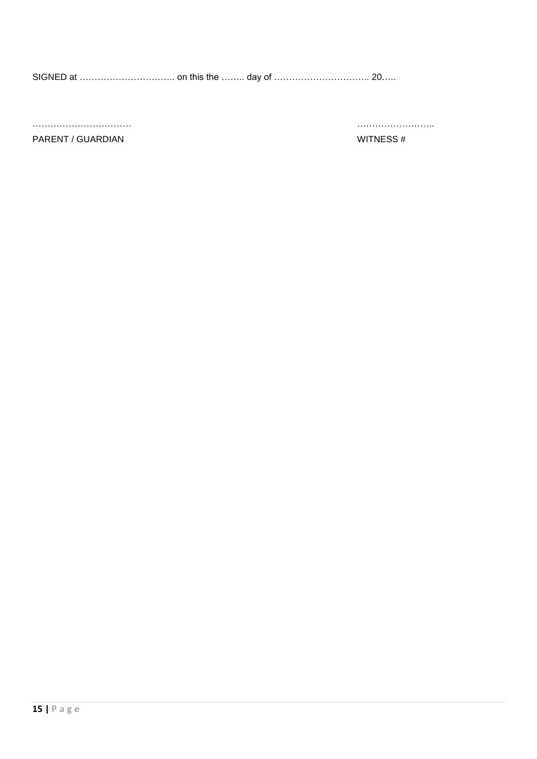SIGNED at ………………………….. on this the …….. day of ………………………….. 20…..

…………………………… ……………………..

#### PARENT / GUARDIAN WITNESS #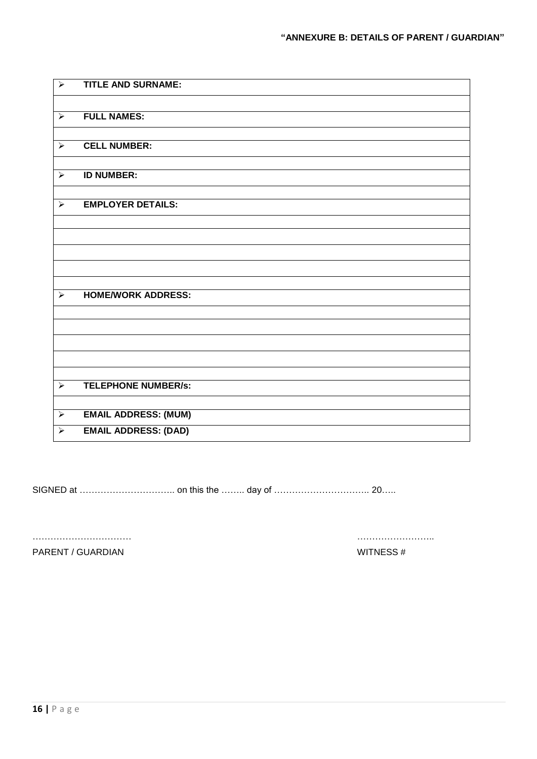| $\blacktriangleright$ | <b>TITLE AND SURNAME:</b>   |
|-----------------------|-----------------------------|
|                       |                             |
| $\blacktriangleright$ | <b>FULL NAMES:</b>          |
|                       |                             |
| $\blacktriangleright$ | <b>CELL NUMBER:</b>         |
|                       |                             |
| $\blacktriangleright$ | <b>ID NUMBER:</b>           |
| $\blacktriangleright$ | <b>EMPLOYER DETAILS:</b>    |
|                       |                             |
|                       |                             |
|                       |                             |
|                       |                             |
|                       |                             |
|                       |                             |
| $\blacktriangleright$ | <b>HOME/WORK ADDRESS:</b>   |
|                       |                             |
|                       |                             |
|                       |                             |
|                       |                             |
|                       |                             |
| $\blacktriangleright$ | <b>TELEPHONE NUMBER/s:</b>  |
|                       |                             |
| $\blacktriangleright$ | <b>EMAIL ADDRESS: (MUM)</b> |
| $\blacktriangleright$ | <b>EMAIL ADDRESS: (DAD)</b> |

SIGNED at ………………………….. on this the …….. day of ………………………….. 20…..

PARENT / GUARDIAN WITNESS #

…………………………… ……………………..